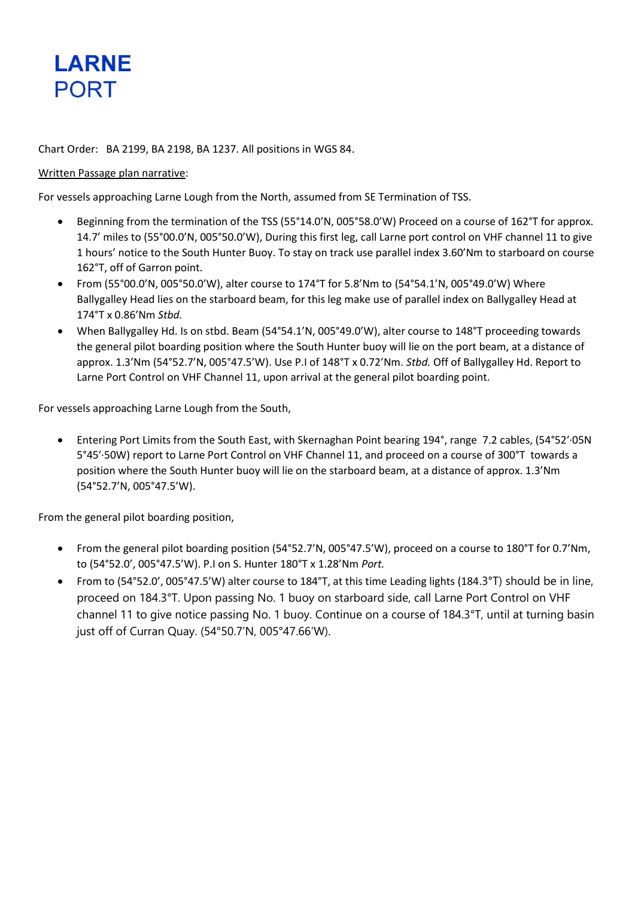

## Chart Order: BA 2199, BA 2198, BA 1237. All positions in WGS 84.

#### Written Passage plan narrative:

For vessels approaching Larne Lough from the North, assumed from SE Termination of TSS.

- Beginning from the termination of the TSS (55°14.0'N, 005°58.0'W) Proceed on a course of 162°T for approx. 14.7' miles to (55°00.0'N, 005°50.0'W), During this first leg, call Larne port control on VHF channel 11 to give 1 hours' notice to the South Hunter Buoy. To stay on track use parallel index 3.60'Nm to starboard on course 162°T, off of Garron point.
- From (55°00.0'N, 005°50.0'W), alter course to 174°T for 5.8'Nm to (54°54.1'N, 005°49.0'W) Where Ballygalley Head lies on the starboard beam, for this leg make use of parallel index on Ballygalley Head at 174°T x 0.86'Nm *Stbd.*
- When Ballygalley Hd. Is on stbd. Beam (54°54.1'N, 005°49.0'W), alter course to 148°T proceeding towards the general pilot boarding position where the South Hunter buoy will lie on the port beam, at a distance of approx. 1.3'Nm (54°52.7'N, 005°47.5'W). Use P.I of 148°T x 0.72'Nm. *Stbd.* Off of Ballygalley Hd. Report to Larne Port Control on VHF Channel 11, upon arrival at the general pilot boarding point.

For vessels approaching Larne Lough from the South,

• Entering Port Limits from the South East, with Skernaghan Point bearing 194°, range 7.2 cables, (54°52′·05N 5°45′·50W) report to Larne Port Control on VHF Channel 11, and proceed on a course of 300°T towards a position where the South Hunter buoy will lie on the starboard beam, at a distance of approx. 1.3'Nm (54°52.7'N, 005°47.5'W).

From the general pilot boarding position,

- From the general pilot boarding position (54°52.7'N, 005°47.5'W), proceed on a course to 180°T for 0.7'Nm, to (54°52.0', 005°47.5'W). P.I on S. Hunter 180°T x 1.28'Nm *Port.*
- From to (54°52.0', 005°47.5'W) alter course to 184°T, at this time Leading lights (184.3°T) should be in line, proceed on 184.3°T. Upon passing No. 1 buoy on starboard side, call Larne Port Control on VHF channel 11 to give notice passing No. 1 buoy. Continue on a course of 184.3°T, until at turning basin just off of Curran Quay. (54°50.7'N, 005°47.66'W).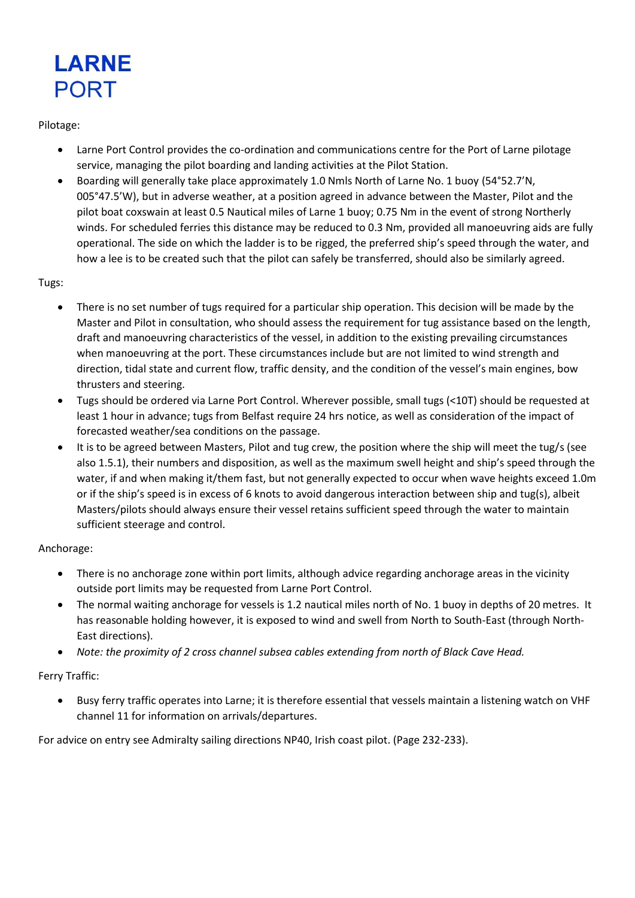

### Pilotage:

- Larne Port Control provides the co-ordination and communications centre for the Port of Larne pilotage service, managing the pilot boarding and landing activities at the Pilot Station.
- Boarding will generally take place approximately 1.0 Nmls North of Larne No. 1 buoy (54°52.7'N, 005°47.5'W), but in adverse weather, at a position agreed in advance between the Master, Pilot and the pilot boat coxswain at least 0.5 Nautical miles of Larne 1 buoy; 0.75 Nm in the event of strong Northerly winds. For scheduled ferries this distance may be reduced to 0.3 Nm, provided all manoeuvring aids are fully operational. The side on which the ladder is to be rigged, the preferred ship's speed through the water, and how a lee is to be created such that the pilot can safely be transferred, should also be similarly agreed.

# Tugs:

- There is no set number of tugs required for a particular ship operation. This decision will be made by the Master and Pilot in consultation, who should assess the requirement for tug assistance based on the length, draft and manoeuvring characteristics of the vessel, in addition to the existing prevailing circumstances when manoeuvring at the port. These circumstances include but are not limited to wind strength and direction, tidal state and current flow, traffic density, and the condition of the vessel's main engines, bow thrusters and steering.
- Tugs should be ordered via Larne Port Control. Wherever possible, small tugs (<10T) should be requested at least 1 hour in advance; tugs from Belfast require 24 hrs notice, as well as consideration of the impact of forecasted weather/sea conditions on the passage.
- It is to be agreed between Masters, Pilot and tug crew, the position where the ship will meet the tug/s (see also 1.5.1), their numbers and disposition, as well as the maximum swell height and ship's speed through the water, if and when making it/them fast, but not generally expected to occur when wave heights exceed 1.0m or if the ship's speed is in excess of 6 knots to avoid dangerous interaction between ship and tug(s), albeit Masters/pilots should always ensure their vessel retains sufficient speed through the water to maintain sufficient steerage and control.

# Anchorage:

- There is no anchorage zone within port limits, although advice regarding anchorage areas in the vicinity outside port limits may be requested from Larne Port Control.
- The normal waiting anchorage for vessels is 1.2 nautical miles north of No. 1 buoy in depths of 20 metres. It has reasonable holding however, it is exposed to wind and swell from North to South-East (through North-East directions).
- *Note: the proximity of 2 cross channel subsea cables extending from north of Black Cave Head.*

# Ferry Traffic:

• Busy ferry traffic operates into Larne; it is therefore essential that vessels maintain a listening watch on VHF channel 11 for information on arrivals/departures.

For advice on entry see Admiralty sailing directions NP40, Irish coast pilot. (Page 232-233).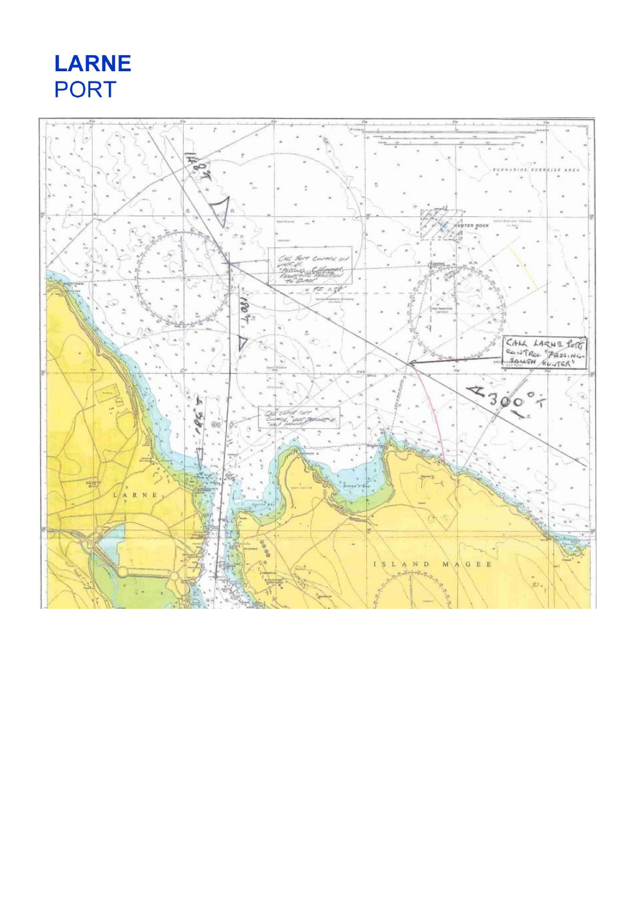**LARNE PORT** 

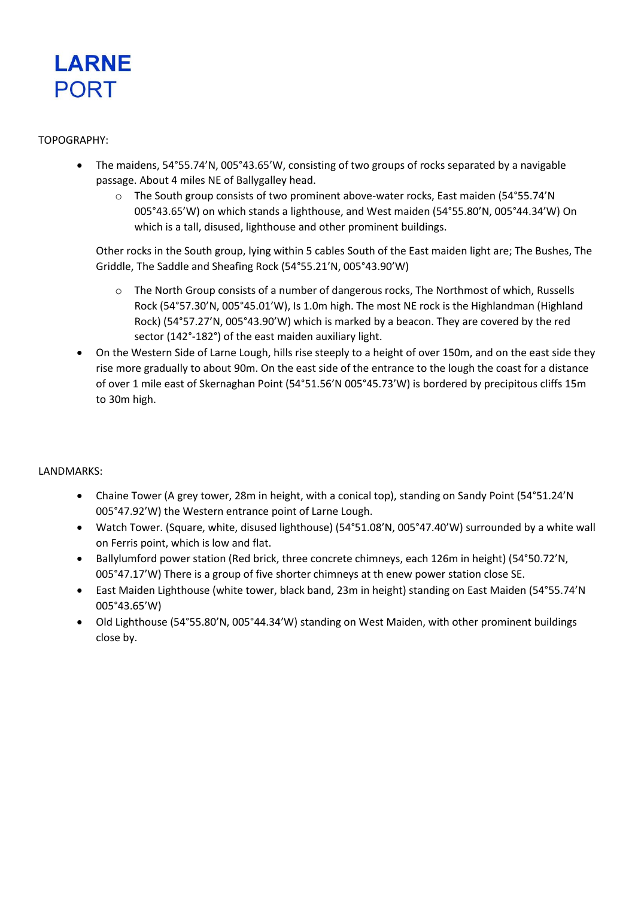

### TOPOGRAPHY:

- The maidens, 54°55.74'N, 005°43.65'W, consisting of two groups of rocks separated by a navigable passage. About 4 miles NE of Ballygalley head.
	- $\circ$  The South group consists of two prominent above-water rocks, East maiden (54°55.74'N 005°43.65'W) on which stands a lighthouse, and West maiden (54°55.80'N, 005°44.34'W) On which is a tall, disused, lighthouse and other prominent buildings.

Other rocks in the South group, lying within 5 cables South of the East maiden light are; The Bushes, The Griddle, The Saddle and Sheafing Rock (54°55.21'N, 005°43.90'W)

- o The North Group consists of a number of dangerous rocks, The Northmost of which, Russells Rock (54°57.30'N, 005°45.01'W), Is 1.0m high. The most NE rock is the Highlandman (Highland Rock) (54°57.27'N, 005°43.90'W) which is marked by a beacon. They are covered by the red sector (142°-182°) of the east maiden auxiliary light.
- On the Western Side of Larne Lough, hills rise steeply to a height of over 150m, and on the east side they rise more gradually to about 90m. On the east side of the entrance to the lough the coast for a distance of over 1 mile east of Skernaghan Point (54°51.56'N 005°45.73'W) is bordered by precipitous cliffs 15m to 30m high.

# LANDMARKS:

- Chaine Tower (A grey tower, 28m in height, with a conical top), standing on Sandy Point (54°51.24'N 005°47.92'W) the Western entrance point of Larne Lough.
- Watch Tower. (Square, white, disused lighthouse) (54°51.08'N, 005°47.40'W) surrounded by a white wall on Ferris point, which is low and flat.
- Ballylumford power station (Red brick, three concrete chimneys, each 126m in height) (54°50.72'N, 005°47.17'W) There is a group of five shorter chimneys at th enew power station close SE.
- East Maiden Lighthouse (white tower, black band, 23m in height) standing on East Maiden (54°55.74'N 005°43.65'W)
- Old Lighthouse (54°55.80'N, 005°44.34'W) standing on West Maiden, with other prominent buildings close by.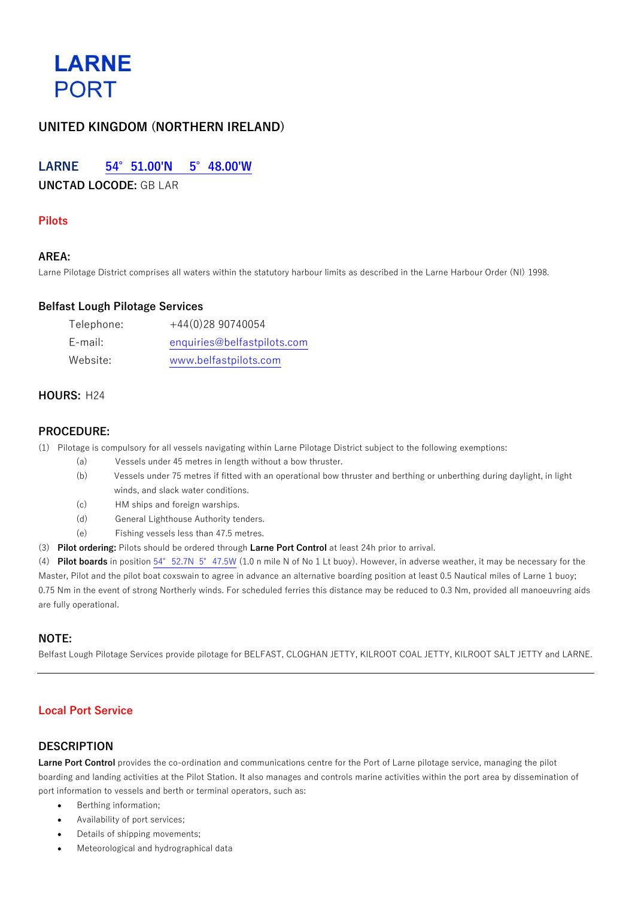

# **UNITED KINGDOM (NORTHERN IRELAND)**

# **LARNE 54°51.00'N 5°48.00'W**

**UNCTAD LOCODE:** GB LAR

# **Pilots**

### **AREA:**

Larne Pilotage District comprises all waters within the statutory harbour limits as described in the Larne Harbour Order (NI) 1998.

#### **Belfast Lough Pilotage Services**

| Telephone: | $+44(0)2890740054$          |
|------------|-----------------------------|
| E-mail:    | enquiries@belfastpilots.com |
| Website:   | www.belfastpilots.com       |

### **HOURS:** H24

#### **PROCEDURE:**

(1) Pilotage is compulsory for all vessels navigating within Larne Pilotage District subject to the following exemptions:

- (a) Vessels under 45 metres in length without a bow thruster.
- (b) Vessels under 75 metres if fitted with an operational bow thruster and berthing or unberthing during daylight, in light winds, and slack water conditions.
- (c) HM ships and foreign warships.
- (d) General Lighthouse Authority tenders.
- (e) Fishing vessels less than 47.5 metres.
- (3) **Pilot ordering:** Pilots should be ordered through **Larne Port Control** at least 24h prior to arrival.

(4) **Pilot boards** in position 54°52.7N 5°47.5W (1.0 n mile N of No 1 Lt buoy). However, in adverse weather, it may be necessary for the Master, Pilot and the pilot boat coxswain to agree in advance an alternative boarding position at least 0.5 Nautical miles of Larne 1 buoy; 0.75 Nm in the event of strong Northerly winds. For scheduled ferries this distance may be reduced to 0.3 Nm, provided all manoeuvring aids are fully operational.

# **NOTE:**

Belfast Lough Pilotage Services provide pilotage for BELFAST, CLOGHAN JETTY, KILROOT COAL JETTY, KILROOT SALT JETTY and LARNE.

# **Local Port Service**

#### **DESCRIPTION**

**Larne Port Control** provides the co-ordination and communications centre for the Port of Larne pilotage service, managing the pilot boarding and landing activities at the Pilot Station. It also manages and controls marine activities within the port area by dissemination of port information to vessels and berth or terminal operators, such as:

- Berthing information;
- Availability of port services;
- Details of shipping movements;
- Meteorological and hydrographical data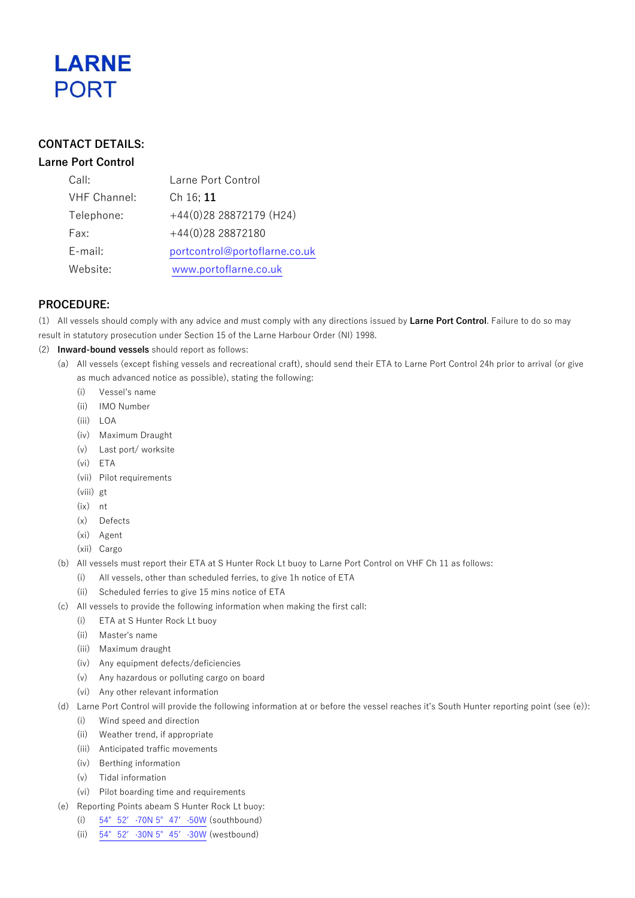

# **CONTACT DETAILS:**

# **Larne Port Control**

| Call:               | Larne Port Control            |
|---------------------|-------------------------------|
| <b>VHF Channel:</b> | Ch 16; 11                     |
| Telephone:          | $+44(0)28$ 28872179 (H24)     |
| Fax:                | +44(0)28 28872180             |
| E-mail:             | portcontrol@portoflarne.co.uk |
| Website:            | www.portoflarne.co.uk         |

# **PROCEDURE:**

- (1) All vessels should comply with any advice and must comply with any directions issued by **Larne Port Control**. Failure to do so may
- result in statutory prosecution under Section 15 of the Larne Harbour Order (NI) 1998.
- (2) **Inward-bound vessels** should report as follows:
	- (a) All vessels (except fishing vessels and recreational craft), should send their ETA to Larne Port Control 24h prior to arrival (or give as much advanced notice as possible), stating the following:
		- (i) Vessel's name
		- (ii) IMO Number
		- (iii) LOA
		- (iv) Maximum Draught
		- (v) Last port/ worksite
		- (vi) ETA
		- (vii) Pilot requirements
		- (viii) gt
		- (ix) nt
		- (x) Defects
		- (xi) Agent
		- (xii) Cargo
	- (b) All vessels must report their ETA at S Hunter Rock Lt buoy to Larne Port Control on VHF Ch 11 as follows:
		- (i) All vessels, other than scheduled ferries, to give 1h notice of ETA
			- (ii) Scheduled ferries to give 15 mins notice of ETA
	- (c) All vessels to provide the following information when making the first call:
		- (i) ETA at S Hunter Rock Lt buoy
		- (ii) Master's name
		- (iii) Maximum draught
		- (iv) Any equipment defects/deficiencies
		- (v) Any hazardous or polluting cargo on board
		- (vi) Any other relevant information
	- (d) Larne Port Control will provide the following information at or before the vessel reaches it's South Hunter reporting point (see (e)):
		- (i) Wind speed and direction
		- (ii) Weather trend, if appropriate
		- (iii) Anticipated traffic movements
		- (iv) Berthing information
		- (v) Tidal information
		- (vi) Pilot boarding time and requirements
	- (e) Reporting Points abeam S Hunter Rock Lt buoy:
		- (i) 54°52′·70N 5°47′·50W (southbound)
		- (ii) 54°52′·30N 5°45′·30W (westbound)